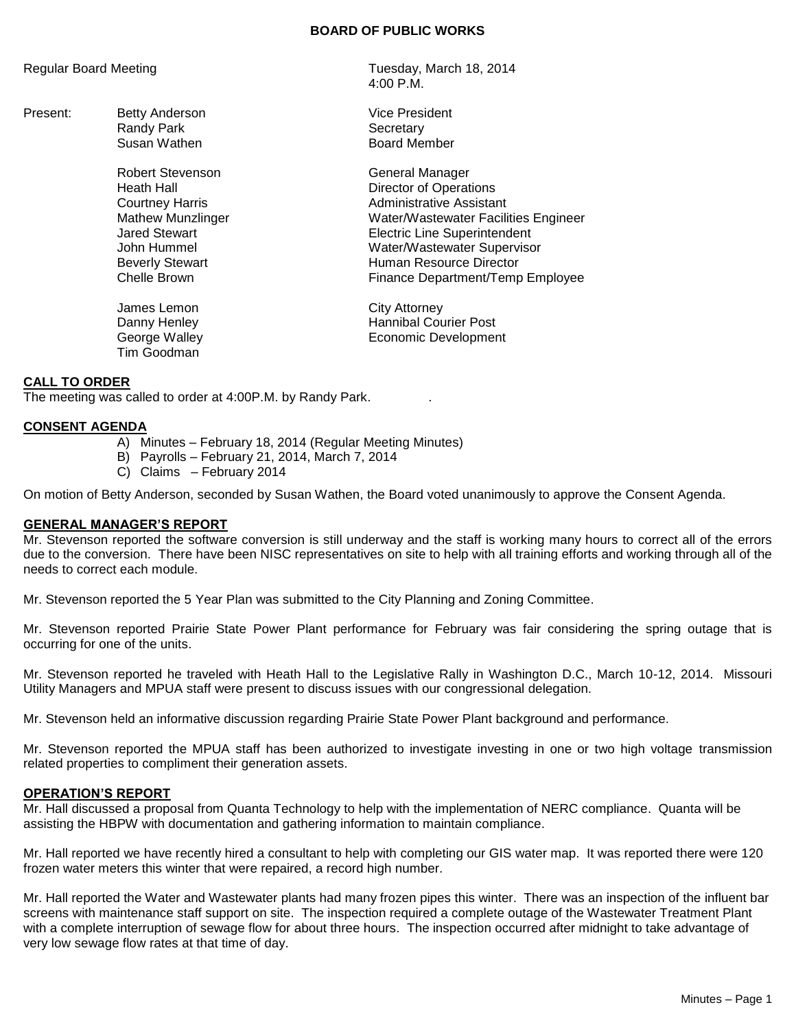#### **BOARD OF PUBLIC WORKS**

Present: Betty Anderson **Vice President** Vice President Randy Park Secretary

Robert Stevenson General Manager

James Lemon City Attorney Tim Goodman

Regular Board Meeting Tuesday, March 18, 2014 4:00 P.M.

Susan Wathen **Board Member** 

Heath Hall **Hall** Director of Operations **Courtney Harris** Courtney Harris **Administrative Assistant** Mathew Munzlinger Water/Wastewater Facilities Engineer Jared Stewart Electric Line Superintendent John Hummel Water/Wastewater Supervisor Beverly Stewart **Exercise Stewart Contract Contract Contract Contract Contract Contract Contract Contract Contract Contract Contract Contract Contract Contract Contract Contract Contract Contract Contract Contract Contract** Chelle Brown **Finance Department/Temp Employee** 

Danny Henley **Hannibal Courier Post** George Walley **Example 20** Economic Development

## **CALL TO ORDER**

The meeting was called to order at 4:00P.M. by Randy Park. .

## **CONSENT AGENDA**

- A) Minutes February 18, 2014 (Regular Meeting Minutes)
- B) Payrolls February 21, 2014, March 7, 2014
- C) Claims February 2014

On motion of Betty Anderson, seconded by Susan Wathen, the Board voted unanimously to approve the Consent Agenda.

#### **GENERAL MANAGER'S REPORT**

Mr. Stevenson reported the software conversion is still underway and the staff is working many hours to correct all of the errors due to the conversion. There have been NISC representatives on site to help with all training efforts and working through all of the needs to correct each module.

Mr. Stevenson reported the 5 Year Plan was submitted to the City Planning and Zoning Committee.

Mr. Stevenson reported Prairie State Power Plant performance for February was fair considering the spring outage that is occurring for one of the units.

Mr. Stevenson reported he traveled with Heath Hall to the Legislative Rally in Washington D.C., March 10-12, 2014. Missouri Utility Managers and MPUA staff were present to discuss issues with our congressional delegation.

Mr. Stevenson held an informative discussion regarding Prairie State Power Plant background and performance.

Mr. Stevenson reported the MPUA staff has been authorized to investigate investing in one or two high voltage transmission related properties to compliment their generation assets.

#### **OPERATION'S REPORT**

Mr. Hall discussed a proposal from Quanta Technology to help with the implementation of NERC compliance. Quanta will be assisting the HBPW with documentation and gathering information to maintain compliance.

Mr. Hall reported we have recently hired a consultant to help with completing our GIS water map. It was reported there were 120 frozen water meters this winter that were repaired, a record high number.

Mr. Hall reported the Water and Wastewater plants had many frozen pipes this winter. There was an inspection of the influent bar screens with maintenance staff support on site. The inspection required a complete outage of the Wastewater Treatment Plant with a complete interruption of sewage flow for about three hours. The inspection occurred after midnight to take advantage of very low sewage flow rates at that time of day.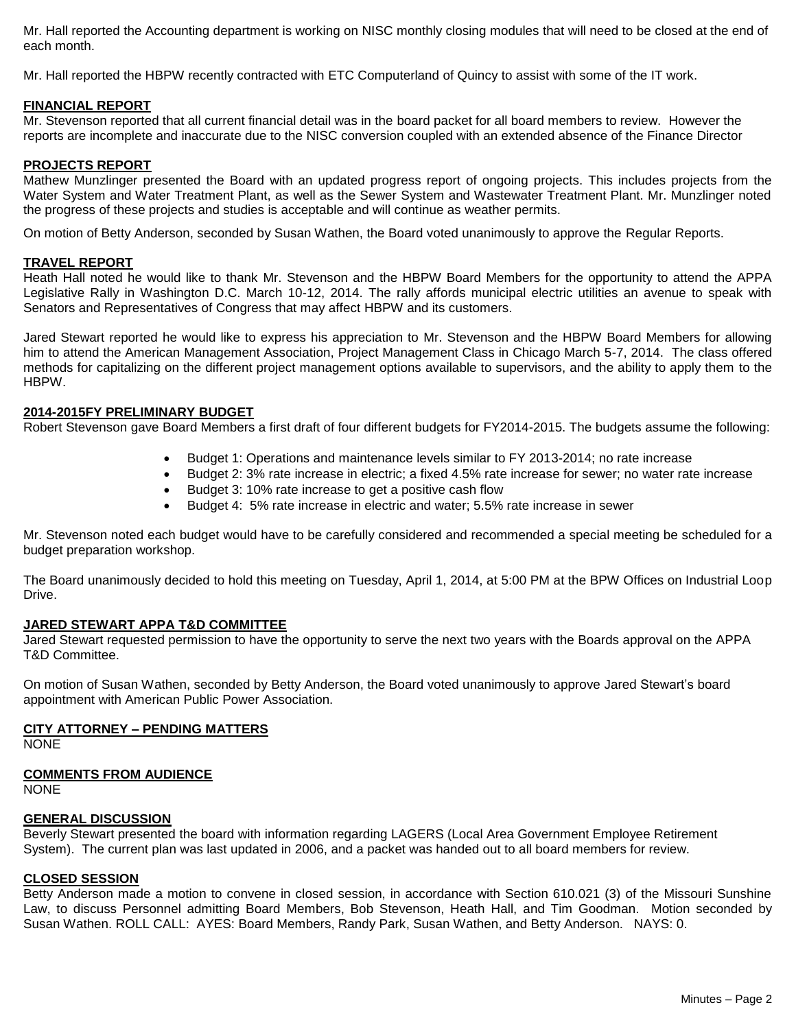Mr. Hall reported the Accounting department is working on NISC monthly closing modules that will need to be closed at the end of each month.

Mr. Hall reported the HBPW recently contracted with ETC Computerland of Quincy to assist with some of the IT work.

## **FINANCIAL REPORT**

Mr. Stevenson reported that all current financial detail was in the board packet for all board members to review. However the reports are incomplete and inaccurate due to the NISC conversion coupled with an extended absence of the Finance Director

## **PROJECTS REPORT**

Mathew Munzlinger presented the Board with an updated progress report of ongoing projects. This includes projects from the Water System and Water Treatment Plant, as well as the Sewer System and Wastewater Treatment Plant. Mr. Munzlinger noted the progress of these projects and studies is acceptable and will continue as weather permits.

On motion of Betty Anderson, seconded by Susan Wathen, the Board voted unanimously to approve the Regular Reports.

#### **TRAVEL REPORT**

Heath Hall noted he would like to thank Mr. Stevenson and the HBPW Board Members for the opportunity to attend the APPA Legislative Rally in Washington D.C. March 10-12, 2014. The rally affords municipal electric utilities an avenue to speak with Senators and Representatives of Congress that may affect HBPW and its customers.

Jared Stewart reported he would like to express his appreciation to Mr. Stevenson and the HBPW Board Members for allowing him to attend the American Management Association, Project Management Class in Chicago March 5-7, 2014. The class offered methods for capitalizing on the different project management options available to supervisors, and the ability to apply them to the HBPW.

#### **2014-2015FY PRELIMINARY BUDGET**

Robert Stevenson gave Board Members a first draft of four different budgets for FY2014-2015. The budgets assume the following:

- Budget 1: Operations and maintenance levels similar to FY 2013-2014; no rate increase
- Budget 2: 3% rate increase in electric; a fixed 4.5% rate increase for sewer; no water rate increase
- Budget 3: 10% rate increase to get a positive cash flow
- Budget 4: 5% rate increase in electric and water; 5.5% rate increase in sewer

Mr. Stevenson noted each budget would have to be carefully considered and recommended a special meeting be scheduled for a budget preparation workshop.

The Board unanimously decided to hold this meeting on Tuesday, April 1, 2014, at 5:00 PM at the BPW Offices on Industrial Loop Drive.

## **JARED STEWART APPA T&D COMMITTEE**

Jared Stewart requested permission to have the opportunity to serve the next two years with the Boards approval on the APPA T&D Committee.

On motion of Susan Wathen, seconded by Betty Anderson, the Board voted unanimously to approve Jared Stewart's board appointment with American Public Power Association.

## **CITY ATTORNEY – PENDING MATTERS**

NONE

## **COMMENTS FROM AUDIENCE**

NONE

## **GENERAL DISCUSSION**

Beverly Stewart presented the board with information regarding LAGERS (Local Area Government Employee Retirement System). The current plan was last updated in 2006, and a packet was handed out to all board members for review.

## **CLOSED SESSION**

Betty Anderson made a motion to convene in closed session, in accordance with Section 610.021 (3) of the Missouri Sunshine Law, to discuss Personnel admitting Board Members, Bob Stevenson, Heath Hall, and Tim Goodman. Motion seconded by Susan Wathen. ROLL CALL: AYES: Board Members, Randy Park, Susan Wathen, and Betty Anderson. NAYS: 0.